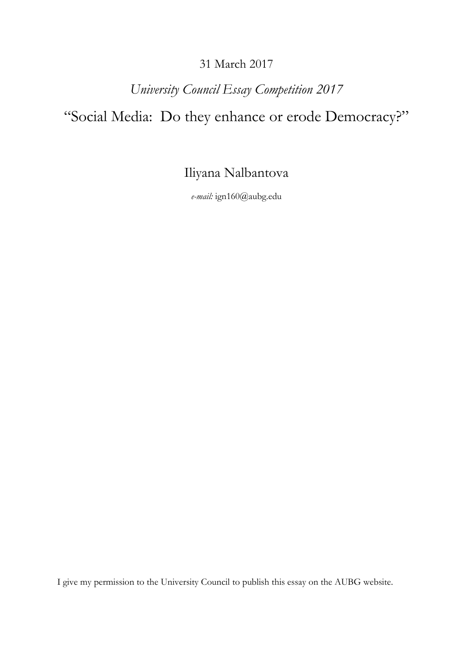## 31 March 2017

## *University Council Essay Competition 2017*

## "Social Media: Do they enhance or erode Democracy?"

Iliyana Nalbantova

*e-mail:* ign160@aubg.edu

I give my permission to the University Council to publish this essay on the AUBG website.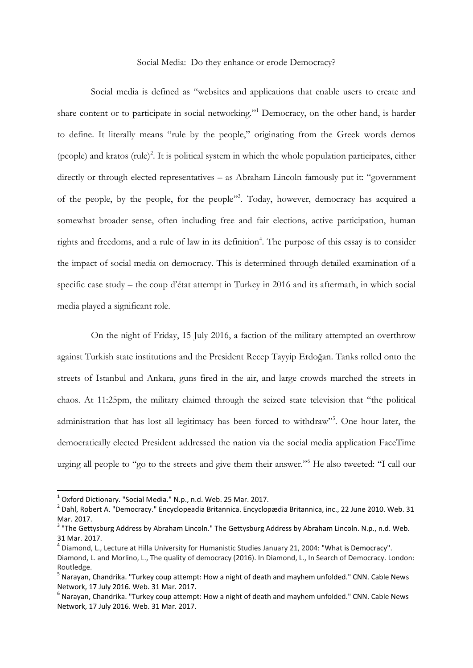## Social Media: Do they enhance or erode Democracy?

Social media is defined as "websites and applications that enable users to create and share content or to participate in social networking." <sup>1</sup> Democracy, on the other hand, is harder to define. It literally means "rule by the people," originating from the Greek words demos (people) and kratos (rule)<sup>2</sup>. It is political system in which the whole population participates, either directly or through elected representatives – as Abraham Lincoln famously put it: "government" of the people, by the people, for the people" 3 . Today, however, democracy has acquired a somewhat broader sense, often including free and fair elections, active participation, human rights and freedoms, and a rule of law in its definition<sup>4</sup>. The purpose of this essay is to consider the impact of social media on democracy. This is determined through detailed examination of a specific case study – the coup d'état attempt in Turkey in 2016 and its aftermath, in which social media played a significant role.

On the night of Friday, 15 July 2016, a faction of the military attempted an overthrow against Turkish state institutions and the President Recep Tayyip Erdoğan. Tanks rolled onto the streets of Istanbul and Ankara, guns fired in the air, and large crowds marched the streets in chaos. At 11:25pm, the military claimed through the seized state television that "the political administration that has lost all legitimacy has been forced to withdraw"<sup>5</sup>. One hour later, the democratically elected President addressed the nation via the social media application FaceTime urging all people to "go to the streets and give them their answer."<sup>6</sup> He also tweeted: "I call our

 $\overline{\phantom{a}}$ 

 $^1$  Oxford Dictionary. "Social Media." N.p., n.d. Web. 25 Mar. 2017.

<sup>2</sup> Dahl, Robert A. "Democracy." Encyclopeadia Britannica. Encyclopædia Britannica, inc., 22 June 2010. Web. 31 Mar. 2017.

<sup>&</sup>lt;sup>3</sup> "The Gettysburg Address by Abraham Lincoln." The Gettysburg Address by Abraham Lincoln. N.p., n.d. Web. 31 Mar. 2017.

<sup>4</sup> Diamond, L., Lecture at Hilla University for Humanistic Studies January 21, 2004: "What is Democracy". Diamond, L. and Morlino, L., The quality of democracy (2016). In Diamond, L., In Search of Democracy. London: Routledge.

<sup>&</sup>lt;sup>5</sup> Narayan, Chandrika. "Turkey coup attempt: How a night of death and mayhem unfolded." CNN. Cable News Network, 17 July 2016. Web. 31 Mar. 2017.

 $<sup>6</sup>$  Narayan, Chandrika. "Turkey coup attempt: How a night of death and mayhem unfolded." CNN. Cable News</sup> Network, 17 July 2016. Web. 31 Mar. 2017.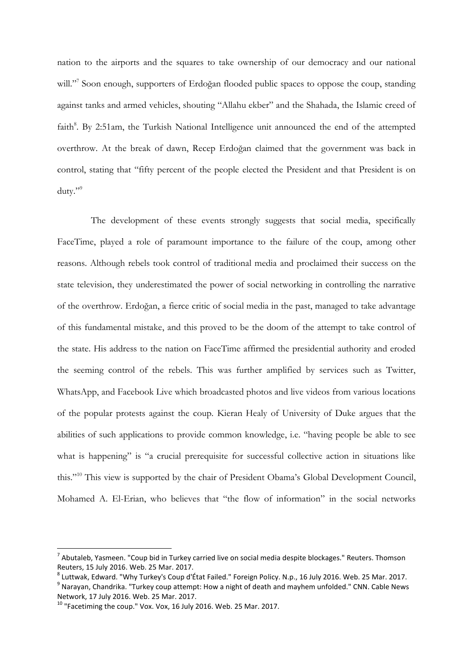nation to the airports and the squares to take ownership of our democracy and our national will."<sup>7</sup> Soon enough, supporters of Erdoğan flooded public spaces to oppose the coup, standing against tanks and armed vehicles, shouting "Allahu ekber" and the Shahada, the Islamic creed of faith<sup>8</sup>. By 2:51am, the Turkish National Intelligence unit announced the end of the attempted overthrow. At the break of dawn, Recep Erdoğan claimed that the government was back in control, stating that "fifty percent of the people elected the President and that President is on duty."<sup>9</sup>

The development of these events strongly suggests that social media, specifically FaceTime, played a role of paramount importance to the failure of the coup, among other reasons. Although rebels took control of traditional media and proclaimed their success on the state television, they underestimated the power of social networking in controlling the narrative of the overthrow. Erdoğan, a fierce critic of social media in the past, managed to take advantage of this fundamental mistake, and this proved to be the doom of the attempt to take control of the state. His address to the nation on FaceTime affirmed the presidential authority and eroded the seeming control of the rebels. This was further amplified by services such as Twitter, WhatsApp, and Facebook Live which broadcasted photos and live videos from various locations of the popular protests against the coup. Kieran Healy of University of Duke argues that the abilities of such applications to provide common knowledge, i.e. "having people be able to see what is happening" is "a crucial prerequisite for successful collective action in situations like this."<sup>10</sup> This view is supported by the chair of President Obama's Global Development Council, Mohamed A. El-Erian, who believes that "the flow of information" in the social networks

**.** 

 $^7$  Abutaleb, Yasmeen. "Coup bid in Turkey carried live on social media despite blockages." Reuters. Thomson Reuters, 15 July 2016. Web. 25 Mar. 2017.

<sup>8</sup> Luttwak, Edward. "Why Turkey's Coup d'État Failed." Foreign Policy. N.p., 16 July 2016. Web. 25 Mar. 2017.

<sup>&</sup>lt;sup>9</sup> Narayan, Chandrika. "Turkey coup attempt: How a night of death and mayhem unfolded." CNN. Cable News Network, 17 July 2016. Web. 25 Mar. 2017.

 $10$  "Facetiming the coup." Vox. Vox, 16 July 2016. Web. 25 Mar. 2017.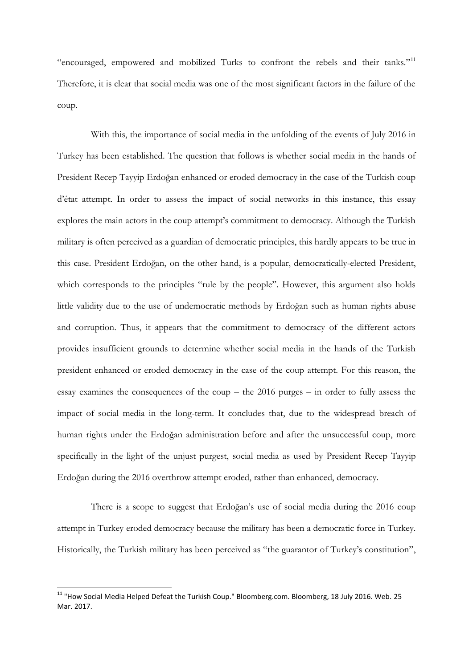"encouraged, empowered and mobilized Turks to confront the rebels and their tanks."<sup>11</sup> Therefore, it is clear that social media was one of the most significant factors in the failure of the coup.

With this, the importance of social media in the unfolding of the events of July 2016 in Turkey has been established. The question that follows is whether social media in the hands of President Recep Tayyip Erdoğan enhanced or eroded democracy in the case of the Turkish coup d'état attempt. In order to assess the impact of social networks in this instance, this essay explores the main actors in the coup attempt's commitment to democracy. Although the Turkish military is often perceived as a guardian of democratic principles, this hardly appears to be true in this case. President Erdoğan, on the other hand, is a popular, democratically-elected President, which corresponds to the principles "rule by the people". However, this argument also holds little validity due to the use of undemocratic methods by Erdoğan such as human rights abuse and corruption. Thus, it appears that the commitment to democracy of the different actors provides insufficient grounds to determine whether social media in the hands of the Turkish president enhanced or eroded democracy in the case of the coup attempt. For this reason, the essay examines the consequences of the coup – the 2016 purges – in order to fully assess the impact of social media in the long-term. It concludes that, due to the widespread breach of human rights under the Erdoğan administration before and after the unsuccessful coup, more specifically in the light of the unjust purgest, social media as used by President Recep Tayyip Erdoğan during the 2016 overthrow attempt eroded, rather than enhanced, democracy.

There is a scope to suggest that Erdoğan's use of social media during the 2016 coup attempt in Turkey eroded democracy because the military has been a democratic force in Turkey. Historically, the Turkish military has been perceived as "the guarantor of Turkey's constitution",

1

 $^{11}$  "How Social Media Helped Defeat the Turkish Coup." Bloomberg.com. Bloomberg, 18 July 2016. Web. 25 Mar. 2017.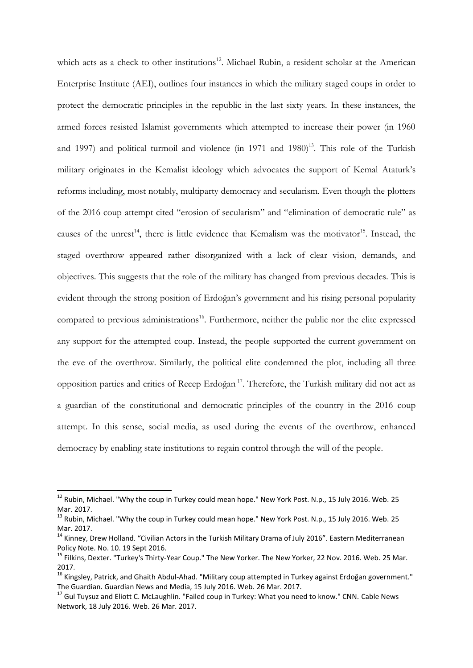which acts as a check to other institutions<sup>12</sup>. Michael Rubin, a resident scholar at the American Enterprise Institute (AEI), outlines four instances in which the military staged coups in order to protect the democratic principles in the republic in the last sixty years. In these instances, the armed forces resisted Islamist governments which attempted to increase their power (in 1960 and 1997) and political turmoil and violence (in 1971 and  $1980$ )<sup>13</sup>. This role of the Turkish military originates in the Kemalist ideology which advocates the support of Kemal Ataturk's reforms including, most notably, multiparty democracy and secularism. Even though the plotters of the 2016 coup attempt cited "erosion of secularism" and "elimination of democratic rule" as causes of the unrest<sup>14</sup>, there is little evidence that Kemalism was the motivator<sup>15</sup>. Instead, the staged overthrow appeared rather disorganized with a lack of clear vision, demands, and objectives. This suggests that the role of the military has changed from previous decades. This is evident through the strong position of Erdoğan's government and his rising personal popularity compared to previous administrations<sup>16</sup>. Furthermore, neither the public nor the elite expressed any support for the attempted coup. Instead, the people supported the current government on the eve of the overthrow. Similarly, the political elite condemned the plot, including all three opposition parties and critics of Recep Erdoğan <sup>17</sup>. Therefore, the Turkish military did not act as a guardian of the constitutional and democratic principles of the country in the 2016 coup attempt. In this sense, social media, as used during the events of the overthrow, enhanced democracy by enabling state institutions to regain control through the will of the people.

 $\overline{\phantom{a}}$ 

<sup>&</sup>lt;sup>12</sup> Rubin, Michael. "Why the coup in Turkey could mean hope." New York Post. N.p., 15 July 2016. Web. 25 Mar. 2017.

<sup>&</sup>lt;sup>13</sup> Rubin, Michael. "Why the coup in Turkey could mean hope." New York Post. N.p., 15 July 2016. Web. 25 Mar. 2017.

<sup>&</sup>lt;sup>14</sup> Kinney, Drew Holland. "Civilian Actors in the Turkish Military Drama of July 2016". Eastern Mediterranean Policy Note. No. 10. 19 Sept 2016.

<sup>15</sup> Filkins, Dexter. "Turkey's Thirty-Year Coup." The New Yorker. The New Yorker, 22 Nov. 2016. Web. 25 Mar. 2017.

<sup>&</sup>lt;sup>16</sup> Kingsley, Patrick, and Ghaith Abdul-Ahad. "Military coup attempted in Turkey against Erdoğan government." The Guardian. Guardian News and Media, 15 July 2016. Web. 26 Mar. 2017.

<sup>&</sup>lt;sup>17</sup> Gul Tuysuz and Eliott C. McLaughlin. "Failed coup in Turkey: What you need to know." CNN. Cable News Network, 18 July 2016. Web. 26 Mar. 2017.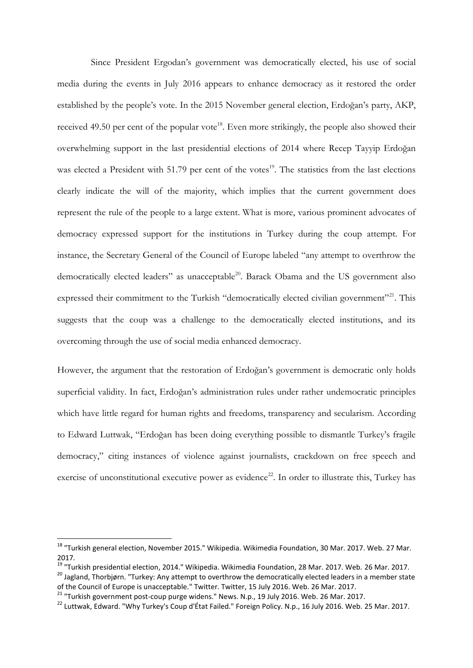Since President Ergodan's government was democratically elected, his use of social media during the events in July 2016 appears to enhance democracy as it restored the order established by the people's vote. In the 2015 November general election, Erdoğan's party, AKP, received 49.50 per cent of the popular vote<sup>18</sup>. Even more strikingly, the people also showed their overwhelming support in the last presidential elections of 2014 where Recep Tayyip Erdoğan was elected a President with 51.79 per cent of the votes $19$ . The statistics from the last elections clearly indicate the will of the majority, which implies that the current government does represent the rule of the people to a large extent. What is more, various prominent advocates of democracy expressed support for the institutions in Turkey during the coup attempt. For instance, the Secretary General of the Council of Europe labeled "any attempt to overthrow the democratically elected leaders" as unacceptable<sup>20</sup>. Barack Obama and the US government also expressed their commitment to the Turkish "democratically elected civilian government"<sup>21</sup>. This suggests that the coup was a challenge to the democratically elected institutions, and its overcoming through the use of social media enhanced democracy.

However, the argument that the restoration of Erdoğan's government is democratic only holds superficial validity. In fact, Erdoğan's administration rules under rather undemocratic principles which have little regard for human rights and freedoms, transparency and secularism. According to Edward Luttwak, "Erdoğan has been doing everything possible to dismantle Turkey's fragile democracy," citing instances of violence against journalists, crackdown on free speech and exercise of unconstitutional executive power as evidence<sup>22</sup>. In order to illustrate this, Turkey has

 $\overline{\phantom{a}}$ 

<sup>&</sup>lt;sup>18</sup> "Turkish general election, November 2015." Wikipedia. Wikimedia Foundation, 30 Mar. 2017. Web. 27 Mar. 2017.

<sup>19</sup> "Turkish presidential election, 2014." Wikipedia. Wikimedia Foundation, 28 Mar. 2017. Web. 26 Mar. 2017.

<sup>&</sup>lt;sup>20</sup> Jagland, Thorbjørn. "Turkey: Any attempt to overthrow the democratically elected leaders in a member state of the Council of Europe is unacceptable." Twitter. Twitter, 15 July 2016. Web. 26 Mar. 2017.

 $21$  "Turkish government post-coup purge widens." News. N.p., 19 July 2016. Web. 26 Mar. 2017.

<sup>&</sup>lt;sup>22</sup> Luttwak, Edward. "Why Turkey's Coup d'État Failed." Foreign Policy. N.p., 16 July 2016. Web. 25 Mar. 2017.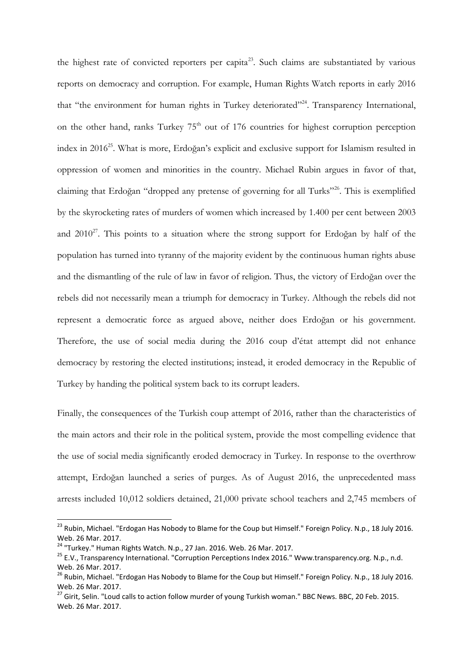the highest rate of convicted reporters per capita<sup>23</sup>. Such claims are substantiated by various reports on democracy and corruption. For example, Human Rights Watch reports in early 2016 that "the environment for human rights in Turkey deteriorated"<sup>24</sup>. Transparency International, on the other hand, ranks Turkey  $75<sup>th</sup>$  out of 176 countries for highest corruption perception index in 2016<sup>25</sup>. What is more, Erdoğan's explicit and exclusive support for Islamism resulted in oppression of women and minorities in the country. Michael Rubin argues in favor of that, claiming that Erdoğan "dropped any pretense of governing for all Turks"<sup>26</sup>. This is exemplified by the skyrocketing rates of murders of women which increased by 1.400 per cent between 2003 and  $2010^{27}$ . This points to a situation where the strong support for Erdoğan by half of the population has turned into tyranny of the majority evident by the continuous human rights abuse and the dismantling of the rule of law in favor of religion. Thus, the victory of Erdoğan over the rebels did not necessarily mean a triumph for democracy in Turkey. Although the rebels did not represent a democratic force as argued above, neither does Erdoğan or his government. Therefore, the use of social media during the 2016 coup d'état attempt did not enhance democracy by restoring the elected institutions; instead, it eroded democracy in the Republic of Turkey by handing the political system back to its corrupt leaders.

Finally, the consequences of the Turkish coup attempt of 2016, rather than the characteristics of the main actors and their role in the political system, provide the most compelling evidence that the use of social media significantly eroded democracy in Turkey. In response to the overthrow attempt, Erdoğan launched a series of purges. As of August 2016, the unprecedented mass arrests included 10,012 soldiers detained, 21,000 private school teachers and 2,745 members of

1

<sup>&</sup>lt;sup>23</sup> Rubin, Michael. "Erdogan Has Nobody to Blame for the Coup but Himself." Foreign Policy. N.p., 18 July 2016. Web. 26 Mar. 2017.

<sup>&</sup>lt;sup>24</sup> "Turkey." Human Rights Watch. N.p., 27 Jan. 2016. Web. 26 Mar. 2017.

<sup>&</sup>lt;sup>25</sup> E.V., Transparency International. "Corruption Perceptions Index 2016." Www.transparency.org. N.p., n.d. Web. 26 Mar. 2017.

<sup>&</sup>lt;sup>26</sup> Rubin, Michael. "Erdogan Has Nobody to Blame for the Coup but Himself." Foreign Policy. N.p., 18 July 2016. Web. 26 Mar. 2017.

<sup>&</sup>lt;sup>27</sup> Girit, Selin. "Loud calls to action follow murder of young Turkish woman." BBC News. BBC, 20 Feb. 2015. Web. 26 Mar. 2017.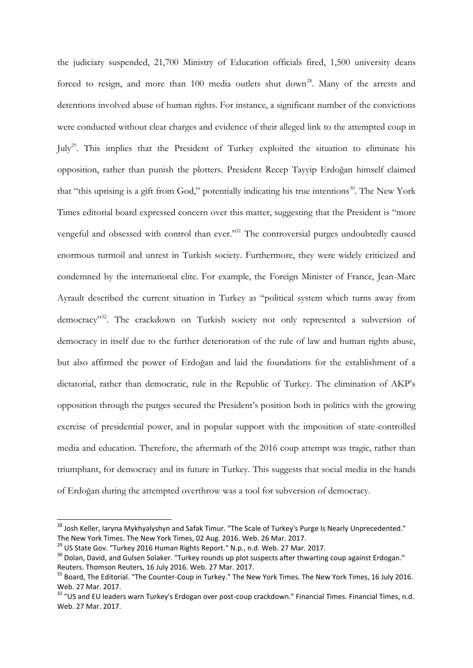the judiciary suspended, 21,700 Ministry of Education officials fired, 1,500 university deans forced to resign, and more than  $100$  media outlets shut down<sup>28</sup>. Many of the arrests and detentions involved abuse of human rights. For instance, a significant number of the convictions were conducted without clear charges and evidence of their alleged link to the attempted coup in July<sup>29</sup>. This implies that the President of Turkey exploited the situation to eliminate his opposition, rather than punish the plotters. President Recep Tayyip Erdoğan himself claimed that "this uprising is a gift from God," potentially indicating his true intentions<sup>30</sup>. The New York Times editorial board expressed concern over this matter, suggesting that the President is "more vengeful and obsessed with control than ever."<sup>31</sup> The controversial purges undoubtedly caused enormous turmoil and unrest in Turkish society. Furthermore, they were widely criticized and condemned by the international elite. For example, the Foreign Minister of France, Jean-Marc Ayrault described the current situation in Turkey as "political system which turns away from democracy"<sup>32</sup>. The crackdown on Turkish society not only represented a subversion of democracy in itself due to the further deterioration of the rule of law and human rights abuse, but also affirmed the power of Erdoğan and laid the foundations for the establishment of a dictatorial, rather than democratic, rule in the Republic of Turkey. The elimination of AKP's opposition through the purges secured the President's position both in politics with the growing exercise of presidential power, and in popular support with the imposition of state-controlled media and education. Therefore, the aftermath of the 2016 coup attempt was tragic, rather than triumphant, for democracy and its future in Turkey. This suggests that social media in the hands of Erdoğan during the attempted overthrow was a tool for subversion of democracy.

1

<sup>&</sup>lt;sup>28</sup> Josh Keller, Iaryna Mykhyalyshyn and Safak Timur. "The Scale of Turkey's Purge Is Nearly Unprecedented." The New York Times. The New York Times, 02 Aug. 2016. Web. 26 Mar. 2017.

<sup>&</sup>lt;sup>29</sup> US State Gov. "Turkey 2016 Human Rights Report." N.p., n.d. Web. 27 Mar. 2017.

<sup>&</sup>lt;sup>30</sup> Dolan, David, and Gulsen Solaker. "Turkey rounds up plot suspects after thwarting coup against Erdogan." Reuters. Thomson Reuters, 16 July 2016. Web. 27 Mar. 2017.

<sup>&</sup>lt;sup>31</sup> Board, The Editorial. "The Counter-Coup in Turkey." The New York Times. The New York Times, 16 July 2016. Web. 27 Mar. 2017.

<sup>&</sup>lt;sup>32</sup> "US and EU leaders warn Turkey's Erdogan over post-coup crackdown." Financial Times. Financial Times, n.d. Web. 27 Mar. 2017.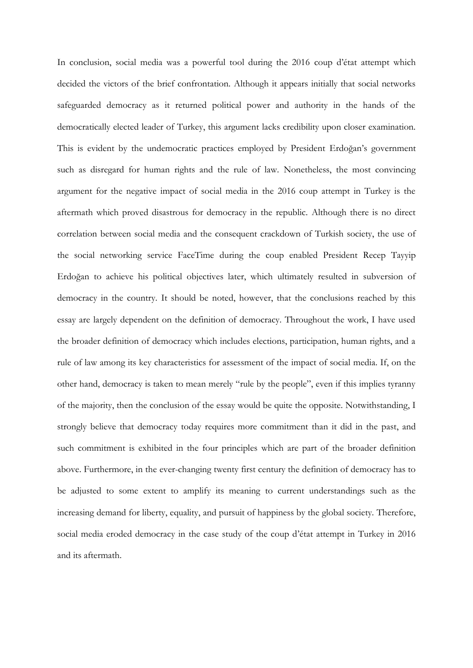In conclusion, social media was a powerful tool during the 2016 coup d'état attempt which decided the victors of the brief confrontation. Although it appears initially that social networks safeguarded democracy as it returned political power and authority in the hands of the democratically elected leader of Turkey, this argument lacks credibility upon closer examination. This is evident by the undemocratic practices employed by President Erdoğan's government such as disregard for human rights and the rule of law. Nonetheless, the most convincing argument for the negative impact of social media in the 2016 coup attempt in Turkey is the aftermath which proved disastrous for democracy in the republic. Although there is no direct correlation between social media and the consequent crackdown of Turkish society, the use of the social networking service FaceTime during the coup enabled President Recep Tayyip Erdoğan to achieve his political objectives later, which ultimately resulted in subversion of democracy in the country. It should be noted, however, that the conclusions reached by this essay are largely dependent on the definition of democracy. Throughout the work, I have used the broader definition of democracy which includes elections, participation, human rights, and a rule of law among its key characteristics for assessment of the impact of social media. If, on the other hand, democracy is taken to mean merely "rule by the people", even if this implies tyranny of the majority, then the conclusion of the essay would be quite the opposite. Notwithstanding, I strongly believe that democracy today requires more commitment than it did in the past, and such commitment is exhibited in the four principles which are part of the broader definition above. Furthermore, in the ever-changing twenty first century the definition of democracy has to be adjusted to some extent to amplify its meaning to current understandings such as the increasing demand for liberty, equality, and pursuit of happiness by the global society. Therefore, social media eroded democracy in the case study of the coup d'état attempt in Turkey in 2016 and its aftermath.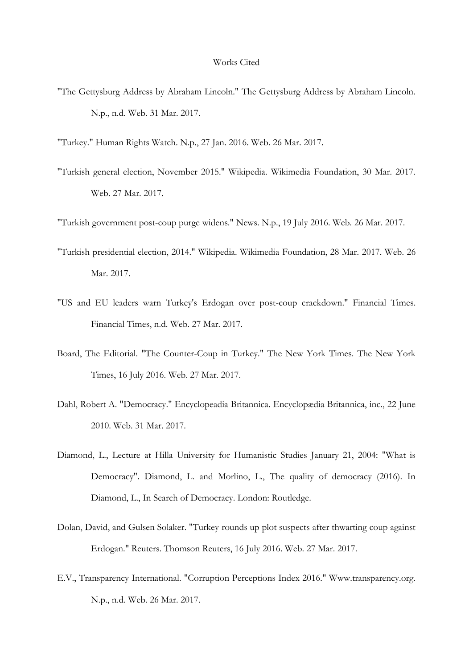"The Gettysburg Address by Abraham Lincoln." The Gettysburg Address by Abraham Lincoln. N.p., n.d. Web. 31 Mar. 2017.

"Turkey." Human Rights Watch. N.p., 27 Jan. 2016. Web. 26 Mar. 2017.

"Turkish general election, November 2015." Wikipedia. Wikimedia Foundation, 30 Mar. 2017. Web. 27 Mar. 2017.

"Turkish government post-coup purge widens." News. N.p., 19 July 2016. Web. 26 Mar. 2017.

- "Turkish presidential election, 2014." Wikipedia. Wikimedia Foundation, 28 Mar. 2017. Web. 26 Mar. 2017.
- "US and EU leaders warn Turkey's Erdogan over post-coup crackdown." Financial Times. Financial Times, n.d. Web. 27 Mar. 2017.
- Board, The Editorial. "The Counter-Coup in Turkey." The New York Times. The New York Times, 16 July 2016. Web. 27 Mar. 2017.
- Dahl, Robert A. "Democracy." Encyclopeadia Britannica. Encyclopædia Britannica, inc., 22 June 2010. Web. 31 Mar. 2017.
- Diamond, L., Lecture at Hilla University for Humanistic Studies January 21, 2004: "What is Democracy". Diamond, L. and Morlino, L., The quality of democracy (2016). In Diamond, L., In Search of Democracy. London: Routledge.
- Dolan, David, and Gulsen Solaker. "Turkey rounds up plot suspects after thwarting coup against Erdogan." Reuters. Thomson Reuters, 16 July 2016. Web. 27 Mar. 2017.
- E.V., Transparency International. "Corruption Perceptions Index 2016." Www.transparency.org. N.p., n.d. Web. 26 Mar. 2017.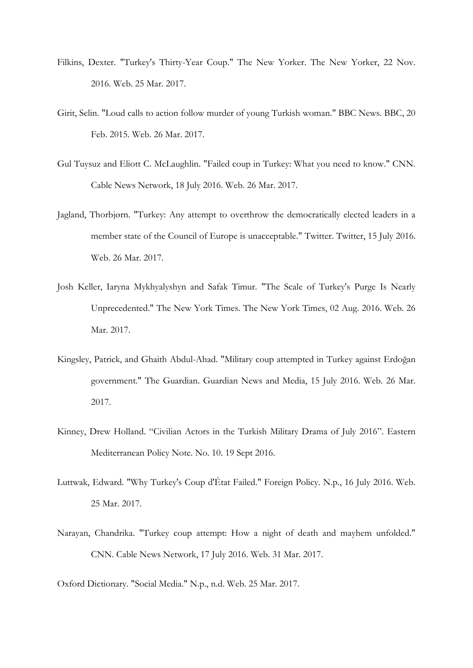- Filkins, Dexter. "Turkey's Thirty-Year Coup." The New Yorker. The New Yorker, 22 Nov. 2016. Web. 25 Mar. 2017.
- Girit, Selin. "Loud calls to action follow murder of young Turkish woman." BBC News. BBC, 20 Feb. 2015. Web. 26 Mar. 2017.
- Gul Tuysuz and Eliott C. McLaughlin. "Failed coup in Turkey: What you need to know." CNN. Cable News Network, 18 July 2016. Web. 26 Mar. 2017.
- Jagland, Thorbjørn. "Turkey: Any attempt to overthrow the democratically elected leaders in a member state of the Council of Europe is unacceptable." Twitter. Twitter, 15 July 2016. Web. 26 Mar. 2017.
- Josh Keller, Iaryna Mykhyalyshyn and Safak Timur. "The Scale of Turkey's Purge Is Nearly Unprecedented." The New York Times. The New York Times, 02 Aug. 2016. Web. 26 Mar. 2017.
- Kingsley, Patrick, and Ghaith Abdul-Ahad. "Military coup attempted in Turkey against Erdoğan government." The Guardian. Guardian News and Media, 15 July 2016. Web. 26 Mar. 2017.
- Kinney, Drew Holland. "Civilian Actors in the Turkish Military Drama of July 2016". Eastern Mediterranean Policy Note. No. 10. 19 Sept 2016.
- Luttwak, Edward. "Why Turkey's Coup d'État Failed." Foreign Policy. N.p., 16 July 2016. Web. 25 Mar. 2017.
- Narayan, Chandrika. "Turkey coup attempt: How a night of death and mayhem unfolded." CNN. Cable News Network, 17 July 2016. Web. 31 Mar. 2017.

Oxford Dictionary. "Social Media." N.p., n.d. Web. 25 Mar. 2017.